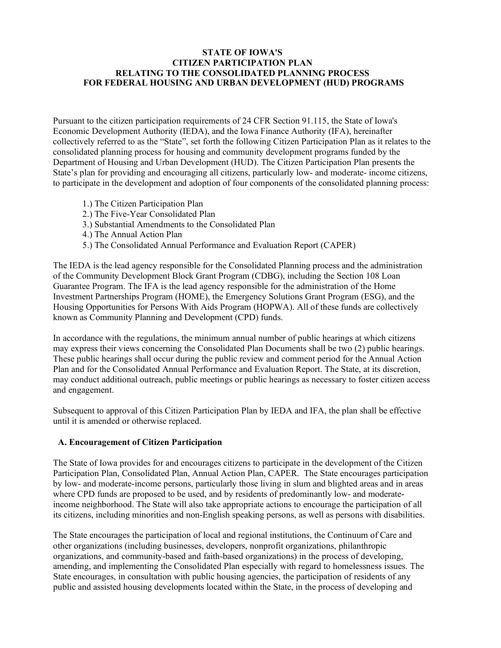#### **STATE OF IOWA'S CITIZEN PARTICIPATION PLAN RELATING TO THE CONSOLIDATED PLANNING PROCESS FOR FEDERAL HOUSING AND URBAN DEVELOPMENT (HUD) PROGRAMS**

Pursuant to the citizen participation requirements of 24 CFR Section 91.115, the State of Iowa's Economic Development Authority (IEDA), and the Iowa Finance Authority (IFA), hereinafter collectively referred to as the "State", set forth the following Citizen Participation Plan as it relates to the consolidated planning process for housing and community development programs funded by the Department of Housing and Urban Development (HUD). The Citizen Participation Plan presents the State's plan for providing and encouraging all citizens, particularly low- and moderate- income citizens, to participate in the development and adoption of four components of the consolidated planning process:

- 1.) The Citizen Participation Plan
- 2.) The Five-Year Consolidated Plan
- 3.) Substantial Amendments to the Consolidated Plan
- 4.) The Annual Action Plan
- 5.) The Consolidated Annual Performance and Evaluation Report (CAPER)

The IEDA is the lead agency responsible for the Consolidated Planning process and the administration of the Community Development Block Grant Program (CDBG), including the Section 108 Loan Guarantee Program. The IFA is the lead agency responsible for the administration of the Home Investment Partnerships Program (HOME), the Emergency Solutions Grant Program (ESG), and the Housing Opportunities for Persons With Aids Program (HOPWA). All of these funds are collectively known as Community Planning and Development (CPD) funds.

In accordance with the regulations, the minimum annual number of public hearings at which citizens may express their views concerning the Consolidated Plan Documents shall be two (2) public hearings. These public hearings shall occur during the public review and comment period for the Annual Action Plan and for the Consolidated Annual Performance and Evaluation Report. The State, at its discretion, may conduct additional outreach, public meetings or public hearings as necessary to foster citizen access and engagement.

Subsequent to approval of this Citizen Participation Plan by IEDA and IFA, the plan shall be effective until it is amended or otherwise replaced.

#### **A. Encouragement of Citizen Participation**

The State of Iowa provides for and encourages citizens to participate in the development of the Citizen Participation Plan, Consolidated Plan, Annual Action Plan, CAPER. The State encourages participation by low- and moderate-income persons, particularly those living in slum and blighted areas and in areas where CPD funds are proposed to be used, and by residents of predominantly low- and moderateincome neighborhood. The State will also take appropriate actions to encourage the participation of all its citizens, including minorities and non-English speaking persons, as well as persons with disabilities.

The State encourages the participation of local and regional institutions, the Continuum of Care and other organizations (including businesses, developers, nonprofit organizations, philanthropic organizations, and community-based and faith-based organizations) in the process of developing, amending, and implementing the Consolidated Plan especially with regard to homelessness issues. The State encourages, in consultation with public housing agencies, the participation of residents of any public and assisted housing developments located within the State, in the process of developing and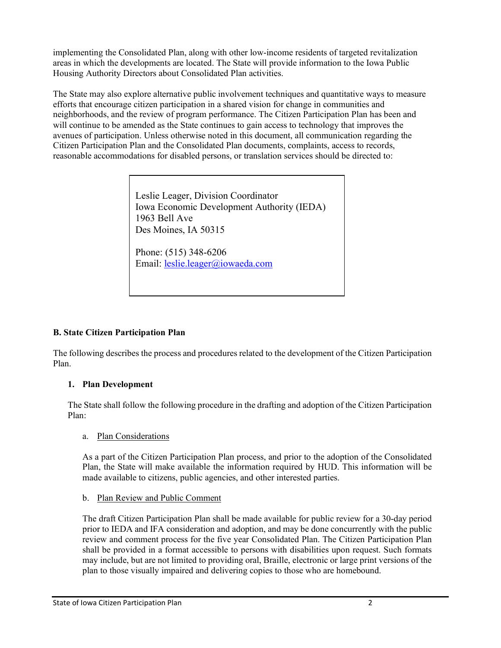implementing the Consolidated Plan, along with other low-income residents of targeted revitalization areas in which the developments are located. The State will provide information to the Iowa Public Housing Authority Directors about Consolidated Plan activities.

The State may also explore alternative public involvement techniques and quantitative ways to measure efforts that encourage citizen participation in a shared vision for change in communities and neighborhoods, and the review of program performance. The Citizen Participation Plan has been and will continue to be amended as the State continues to gain access to technology that improves the avenues of participation. Unless otherwise noted in this document, all communication regarding the Citizen Participation Plan and the Consolidated Plan documents, complaints, access to records, reasonable accommodations for disabled persons, or translation services should be directed to:

> Leslie Leager, Division Coordinator Iowa Economic Development Authority (IEDA) 1963 Bell Ave Des Moines, IA 50315

Phone: (515) 348-6206 Email: [leslie.leager@iowaeda.com](mailto:leslie.leager@iowaeda.com)

# **B. State Citizen Participation Plan**

The following describes the process and procedures related to the development of the Citizen Participation Plan.

# **1. Plan Development**

The State shall follow the following procedure in the drafting and adoption of the Citizen Participation Plan:

# a. Plan Considerations

As a part of the Citizen Participation Plan process, and prior to the adoption of the Consolidated Plan, the State will make available the information required by HUD. This information will be made available to citizens, public agencies, and other interested parties.

# b. Plan Review and Public Comment

The draft Citizen Participation Plan shall be made available for public review for a 30-day period prior to IEDA and IFA consideration and adoption, and may be done concurrently with the public review and comment process for the five year Consolidated Plan. The Citizen Participation Plan shall be provided in a format accessible to persons with disabilities upon request. Such formats may include, but are not limited to providing oral, Braille, electronic or large print versions of the plan to those visually impaired and delivering copies to those who are homebound.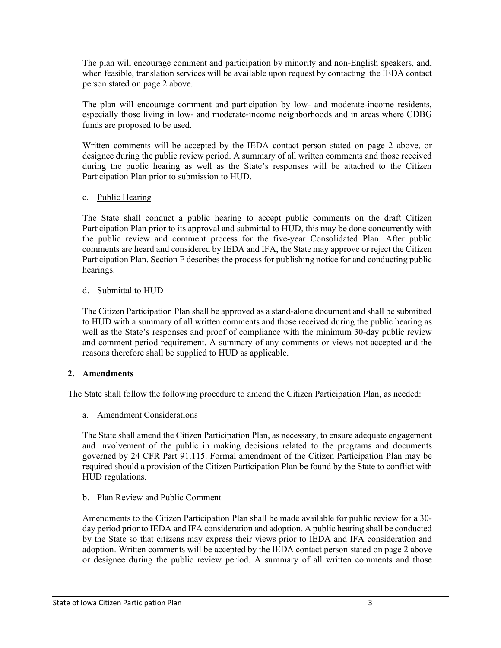The plan will encourage comment and participation by minority and non-English speakers, and, when feasible, translation services will be available upon request by contacting the IEDA contact person stated on page 2 above.

The plan will encourage comment and participation by low- and moderate-income residents, especially those living in low- and moderate-income neighborhoods and in areas where CDBG funds are proposed to be used.

Written comments will be accepted by the IEDA contact person stated on page 2 above, or designee during the public review period. A summary of all written comments and those received during the public hearing as well as the State's responses will be attached to the Citizen Participation Plan prior to submission to HUD.

### c. Public Hearing

The State shall conduct a public hearing to accept public comments on the draft Citizen Participation Plan prior to its approval and submittal to HUD, this may be done concurrently with the public review and comment process for the five-year Consolidated Plan. After public comments are heard and considered by IEDA and IFA, the State may approve or reject the Citizen Participation Plan. Section F describes the process for publishing notice for and conducting public hearings.

### d. Submittal to HUD

The Citizen Participation Plan shall be approved as a stand-alone document and shall be submitted to HUD with a summary of all written comments and those received during the public hearing as well as the State's responses and proof of compliance with the minimum 30-day public review and comment period requirement. A summary of any comments or views not accepted and the reasons therefore shall be supplied to HUD as applicable.

### **2. Amendments**

The State shall follow the following procedure to amend the Citizen Participation Plan, as needed:

#### a. Amendment Considerations

The State shall amend the Citizen Participation Plan, as necessary, to ensure adequate engagement and involvement of the public in making decisions related to the programs and documents governed by 24 CFR Part 91.115. Formal amendment of the Citizen Participation Plan may be required should a provision of the Citizen Participation Plan be found by the State to conflict with HUD regulations.

### b. Plan Review and Public Comment

Amendments to the Citizen Participation Plan shall be made available for public review for a 30 day period prior to IEDA and IFA consideration and adoption. A public hearing shall be conducted by the State so that citizens may express their views prior to IEDA and IFA consideration and adoption. Written comments will be accepted by the IEDA contact person stated on page 2 above or designee during the public review period. A summary of all written comments and those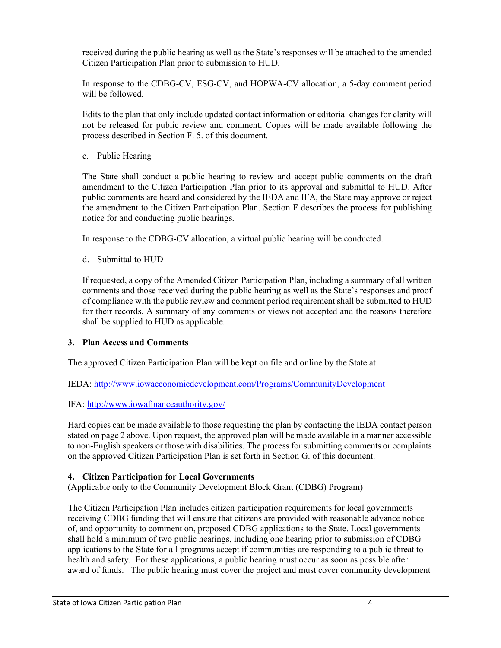received during the public hearing as well as the State's responses will be attached to the amended Citizen Participation Plan prior to submission to HUD.

In response to the CDBG-CV, ESG-CV, and HOPWA-CV allocation, a 5-day comment period will be followed.

Edits to the plan that only include updated contact information or editorial changes for clarity will not be released for public review and comment. Copies will be made available following the process described in Section F. 5. of this document.

## c. Public Hearing

The State shall conduct a public hearing to review and accept public comments on the draft amendment to the Citizen Participation Plan prior to its approval and submittal to HUD. After public comments are heard and considered by the IEDA and IFA, the State may approve or reject the amendment to the Citizen Participation Plan. Section F describes the process for publishing notice for and conducting public hearings.

In response to the CDBG-CV allocation, a virtual public hearing will be conducted.

# d. Submittal to HUD

If requested, a copy of the Amended Citizen Participation Plan, including a summary of all written comments and those received during the public hearing as well as the State's responses and proof of compliance with the public review and comment period requirement shall be submitted to HUD for their records. A summary of any comments or views not accepted and the reasons therefore shall be supplied to HUD as applicable.

# **3. Plan Access and Comments**

The approved Citizen Participation Plan will be kept on file and online by the State at

IEDA: <http://www.iowaeconomicdevelopment.com/Programs/CommunityDevelopment>

# IFA: <http://www.iowafinanceauthority.gov/>

Hard copies can be made available to those requesting the plan by contacting the IEDA contact person stated on page 2 above. Upon request, the approved plan will be made available in a manner accessible to non-English speakers or those with disabilities. The process for submitting comments or complaints on the approved Citizen Participation Plan is set forth in Section G. of this document.

# **4. Citizen Participation for Local Governments**

(Applicable only to the Community Development Block Grant (CDBG) Program)

The Citizen Participation Plan includes citizen participation requirements for local governments receiving CDBG funding that will ensure that citizens are provided with reasonable advance notice of, and opportunity to comment on, proposed CDBG applications to the State. Local governments shall hold a minimum of two public hearings, including one hearing prior to submission of CDBG applications to the State for all programs accept if communities are responding to a public threat to health and safety. For these applications, a public hearing must occur as soon as possible after award of funds. The public hearing must cover the project and must cover community development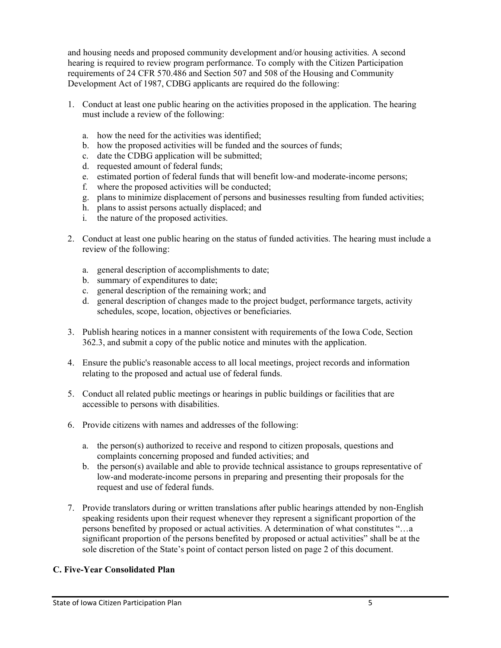and housing needs and proposed community development and/or housing activities. A second hearing is required to review program performance. To comply with the Citizen Participation requirements of 24 CFR 570.486 and Section 507 and 508 of the Housing and Community Development Act of 1987, CDBG applicants are required do the following:

- 1. Conduct at least one public hearing on the activities proposed in the application. The hearing must include a review of the following:
	- a. how the need for the activities was identified;
	- b. how the proposed activities will be funded and the sources of funds;
	- c. date the CDBG application will be submitted;
	- d. requested amount of federal funds;
	- e. estimated portion of federal funds that will benefit low-and moderate-income persons;
	- f. where the proposed activities will be conducted;
	- g. plans to minimize displacement of persons and businesses resulting from funded activities;
	- h. plans to assist persons actually displaced; and
	- i. the nature of the proposed activities.
- 2. Conduct at least one public hearing on the status of funded activities. The hearing must include a review of the following:
	- a. general description of accomplishments to date;
	- b. summary of expenditures to date;
	- c. general description of the remaining work; and
	- d. general description of changes made to the project budget, performance targets, activity schedules, scope, location, objectives or beneficiaries.
- 3. Publish hearing notices in a manner consistent with requirements of the Iowa Code, Section 362.3, and submit a copy of the public notice and minutes with the application.
- 4. Ensure the public's reasonable access to all local meetings, project records and information relating to the proposed and actual use of federal funds.
- 5. Conduct all related public meetings or hearings in public buildings or facilities that are accessible to persons with disabilities.
- 6. Provide citizens with names and addresses of the following:
	- a. the person(s) authorized to receive and respond to citizen proposals, questions and complaints concerning proposed and funded activities; and
	- b. the person(s) available and able to provide technical assistance to groups representative of low-and moderate-income persons in preparing and presenting their proposals for the request and use of federal funds.
- 7. Provide translators during or written translations after public hearings attended by non-English speaking residents upon their request whenever they represent a significant proportion of the persons benefited by proposed or actual activities. A determination of what constitutes "…a significant proportion of the persons benefited by proposed or actual activities" shall be at the sole discretion of the State's point of contact person listed on page 2 of this document.

# **C. Five-Year Consolidated Plan**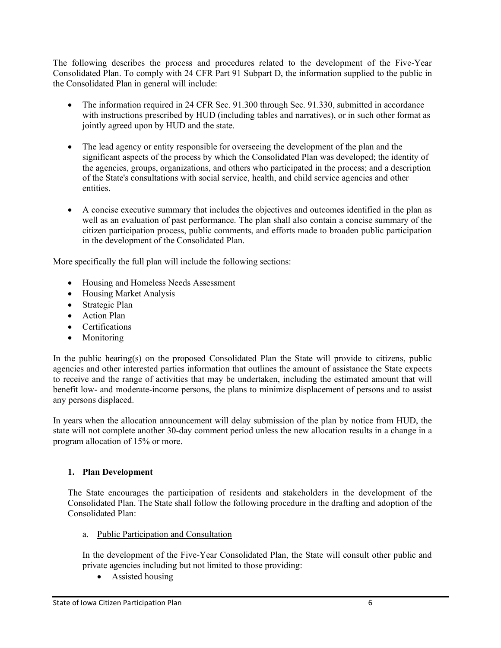The following describes the process and procedures related to the development of the Five-Year Consolidated Plan. To comply with 24 CFR Part 91 Subpart D, the information supplied to the public in the Consolidated Plan in general will include:

- The information required in 24 CFR Sec. 91.300 through Sec. 91.330, submitted in accordance with instructions prescribed by HUD (including tables and narratives), or in such other format as jointly agreed upon by HUD and the state.
- The lead agency or entity responsible for overseeing the development of the plan and the significant aspects of the process by which the Consolidated Plan was developed; the identity of the agencies, groups, organizations, and others who participated in the process; and a description of the State's consultations with social service, health, and child service agencies and other entities.
- A concise executive summary that includes the objectives and outcomes identified in the plan as well as an evaluation of past performance. The plan shall also contain a concise summary of the citizen participation process, public comments, and efforts made to broaden public participation in the development of the Consolidated Plan.

More specifically the full plan will include the following sections:

- Housing and Homeless Needs Assessment
- Housing Market Analysis
- Strategic Plan
- Action Plan
- Certifications
- Monitoring

In the public hearing(s) on the proposed Consolidated Plan the State will provide to citizens, public agencies and other interested parties information that outlines the amount of assistance the State expects to receive and the range of activities that may be undertaken, including the estimated amount that will benefit low- and moderate-income persons, the plans to minimize displacement of persons and to assist any persons displaced.

In years when the allocation announcement will delay submission of the plan by notice from HUD, the state will not complete another 30-day comment period unless the new allocation results in a change in a program allocation of 15% or more.

### **1. Plan Development**

The State encourages the participation of residents and stakeholders in the development of the Consolidated Plan. The State shall follow the following procedure in the drafting and adoption of the Consolidated Plan:

a. Public Participation and Consultation

In the development of the Five-Year Consolidated Plan, the State will consult other public and private agencies including but not limited to those providing:

• Assisted housing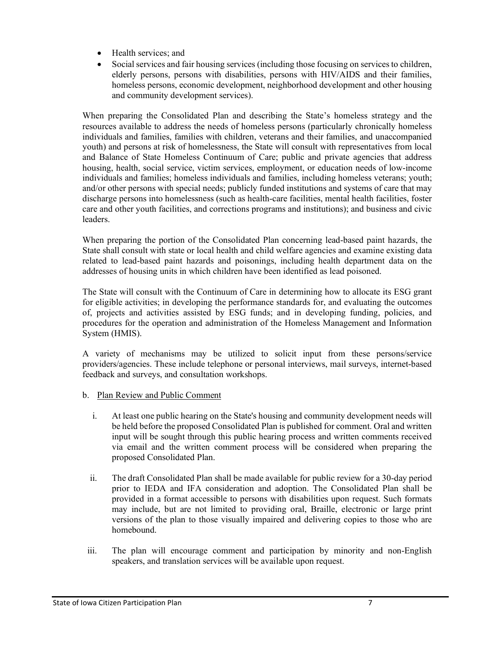- Health services; and
- Social services and fair housing services (including those focusing on services to children, elderly persons, persons with disabilities, persons with HIV/AIDS and their families, homeless persons, economic development, neighborhood development and other housing and community development services).

When preparing the Consolidated Plan and describing the State's homeless strategy and the resources available to address the needs of homeless persons (particularly chronically homeless individuals and families, families with children, veterans and their families, and unaccompanied youth) and persons at risk of homelessness, the State will consult with representatives from local and Balance of State Homeless Continuum of Care; public and private agencies that address housing, health, social service, victim services, employment, or education needs of low-income individuals and families; homeless individuals and families, including homeless veterans; youth; and/or other persons with special needs; publicly funded institutions and systems of care that may discharge persons into homelessness (such as health-care facilities, mental health facilities, foster care and other youth facilities, and corrections programs and institutions); and business and civic leaders.

When preparing the portion of the Consolidated Plan concerning lead-based paint hazards, the State shall consult with state or local health and child welfare agencies and examine existing data related to lead-based paint hazards and poisonings, including health department data on the addresses of housing units in which children have been identified as lead poisoned.

The State will consult with the Continuum of Care in determining how to allocate its ESG grant for eligible activities; in developing the performance standards for, and evaluating the outcomes of, projects and activities assisted by ESG funds; and in developing funding, policies, and procedures for the operation and administration of the Homeless Management and Information System (HMIS).

A variety of mechanisms may be utilized to solicit input from these persons/service providers/agencies. These include telephone or personal interviews, mail surveys, internet-based feedback and surveys, and consultation workshops.

- b. Plan Review and Public Comment
	- i. At least one public hearing on the State's housing and community development needs will be held before the proposed Consolidated Plan is published for comment. Oral and written input will be sought through this public hearing process and written comments received via email and the written comment process will be considered when preparing the proposed Consolidated Plan.
	- ii. The draft Consolidated Plan shall be made available for public review for a 30-day period prior to IEDA and IFA consideration and adoption. The Consolidated Plan shall be provided in a format accessible to persons with disabilities upon request. Such formats may include, but are not limited to providing oral, Braille, electronic or large print versions of the plan to those visually impaired and delivering copies to those who are homebound.
- iii. The plan will encourage comment and participation by minority and non-English speakers, and translation services will be available upon request.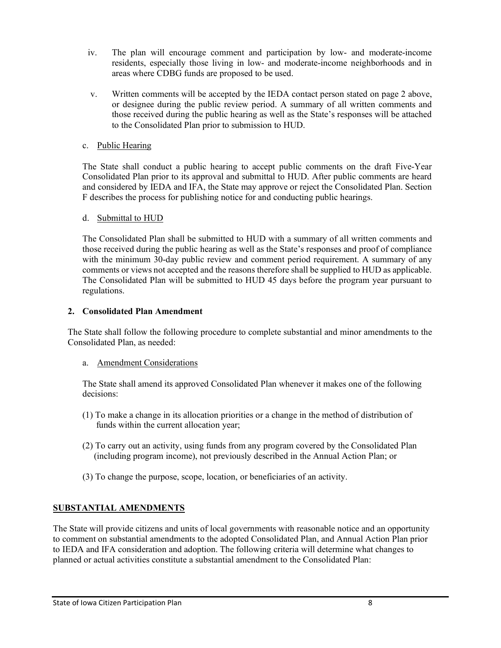- iv. The plan will encourage comment and participation by low- and moderate-income residents, especially those living in low- and moderate-income neighborhoods and in areas where CDBG funds are proposed to be used.
- v. Written comments will be accepted by the IEDA contact person stated on page 2 above, or designee during the public review period. A summary of all written comments and those received during the public hearing as well as the State's responses will be attached to the Consolidated Plan prior to submission to HUD.

#### c. Public Hearing

The State shall conduct a public hearing to accept public comments on the draft Five-Year Consolidated Plan prior to its approval and submittal to HUD. After public comments are heard and considered by IEDA and IFA, the State may approve or reject the Consolidated Plan. Section F describes the process for publishing notice for and conducting public hearings.

#### d. Submittal to HUD

The Consolidated Plan shall be submitted to HUD with a summary of all written comments and those received during the public hearing as well as the State's responses and proof of compliance with the minimum 30-day public review and comment period requirement. A summary of any comments or views not accepted and the reasons therefore shall be supplied to HUD as applicable. The Consolidated Plan will be submitted to HUD 45 days before the program year pursuant to regulations.

#### **2. Consolidated Plan Amendment**

The State shall follow the following procedure to complete substantial and minor amendments to the Consolidated Plan, as needed:

#### a. Amendment Considerations

The State shall amend its approved Consolidated Plan whenever it makes one of the following decisions:

- (1) To make a change in its allocation priorities or a change in the method of distribution of funds within the current allocation year;
- (2) To carry out an activity, using funds from any program covered by the Consolidated Plan (including program income), not previously described in the Annual Action Plan; or
- (3) To change the purpose, scope, location, or beneficiaries of an activity.

### **SUBSTANTIAL AMENDMENTS**

The State will provide citizens and units of local governments with reasonable notice and an opportunity to comment on substantial amendments to the adopted Consolidated Plan, and Annual Action Plan prior to IEDA and IFA consideration and adoption. The following criteria will determine what changes to planned or actual activities constitute a substantial amendment to the Consolidated Plan: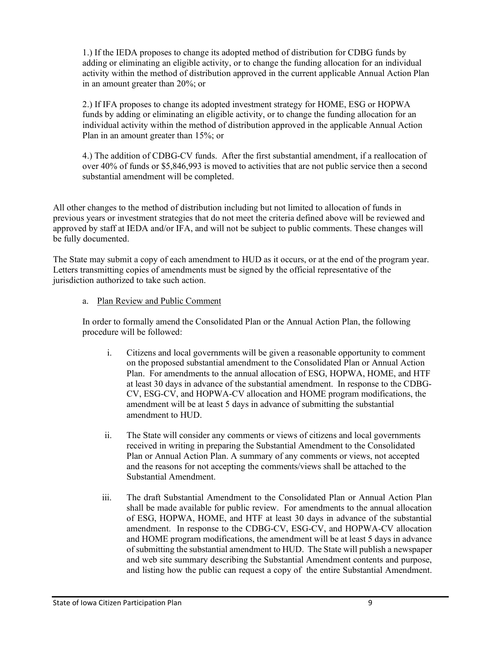1.) If the IEDA proposes to change its adopted method of distribution for CDBG funds by adding or eliminating an eligible activity, or to change the funding allocation for an individual activity within the method of distribution approved in the current applicable Annual Action Plan in an amount greater than 20%; or

2.) If IFA proposes to change its adopted investment strategy for HOME, ESG or HOPWA funds by adding or eliminating an eligible activity, or to change the funding allocation for an individual activity within the method of distribution approved in the applicable Annual Action Plan in an amount greater than 15%; or

4.) The addition of CDBG-CV funds. After the first substantial amendment, if a reallocation of over 40% of funds or \$5,846,993 is moved to activities that are not public service then a second substantial amendment will be completed.

All other changes to the method of distribution including but not limited to allocation of funds in previous years or investment strategies that do not meet the criteria defined above will be reviewed and approved by staff at IEDA and/or IFA, and will not be subject to public comments. These changes will be fully documented.

The State may submit a copy of each amendment to HUD as it occurs, or at the end of the program year. Letters transmitting copies of amendments must be signed by the official representative of the jurisdiction authorized to take such action.

#### a. Plan Review and Public Comment

In order to formally amend the Consolidated Plan or the Annual Action Plan, the following procedure will be followed:

- i. Citizens and local governments will be given a reasonable opportunity to comment on the proposed substantial amendment to the Consolidated Plan or Annual Action Plan. For amendments to the annual allocation of ESG, HOPWA, HOME, and HTF at least 30 days in advance of the substantial amendment. In response to the CDBG-CV, ESG-CV, and HOPWA-CV allocation and HOME program modifications, the amendment will be at least 5 days in advance of submitting the substantial amendment to HUD.
- ii. The State will consider any comments or views of citizens and local governments received in writing in preparing the Substantial Amendment to the Consolidated Plan or Annual Action Plan. A summary of any comments or views, not accepted and the reasons for not accepting the comments/views shall be attached to the Substantial Amendment.
- iii. The draft Substantial Amendment to the Consolidated Plan or Annual Action Plan shall be made available for public review. For amendments to the annual allocation of ESG, HOPWA, HOME, and HTF at least 30 days in advance of the substantial amendment. In response to the CDBG-CV, ESG-CV, and HOPWA-CV allocation and HOME program modifications, the amendment will be at least 5 days in advance of submitting the substantial amendment to HUD. The State will publish a newspaper and web site summary describing the Substantial Amendment contents and purpose, and listing how the public can request a copy of the entire Substantial Amendment.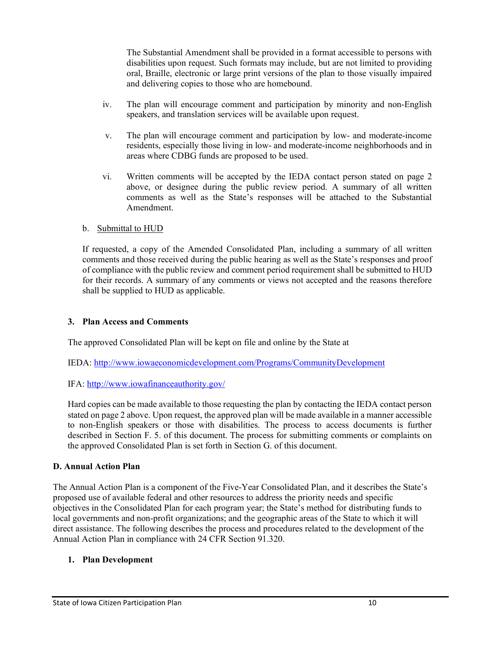The Substantial Amendment shall be provided in a format accessible to persons with disabilities upon request. Such formats may include, but are not limited to providing oral, Braille, electronic or large print versions of the plan to those visually impaired and delivering copies to those who are homebound.

- iv. The plan will encourage comment and participation by minority and non-English speakers, and translation services will be available upon request.
- v. The plan will encourage comment and participation by low- and moderate-income residents, especially those living in low- and moderate-income neighborhoods and in areas where CDBG funds are proposed to be used.
- vi. Written comments will be accepted by the IEDA contact person stated on page 2 above, or designee during the public review period. A summary of all written comments as well as the State's responses will be attached to the Substantial Amendment.

#### b. Submittal to HUD

If requested, a copy of the Amended Consolidated Plan, including a summary of all written comments and those received during the public hearing as well as the State's responses and proof of compliance with the public review and comment period requirement shall be submitted to HUD for their records. A summary of any comments or views not accepted and the reasons therefore shall be supplied to HUD as applicable.

### **3. Plan Access and Comments**

The approved Consolidated Plan will be kept on file and online by the State at

IEDA:<http://www.iowaeconomicdevelopment.com/Programs/CommunityDevelopment>

IFA:<http://www.iowafinanceauthority.gov/>

Hard copies can be made available to those requesting the plan by contacting the IEDA contact person stated on page 2 above. Upon request, the approved plan will be made available in a manner accessible to non-English speakers or those with disabilities. The process to access documents is further described in Section F. 5. of this document. The process for submitting comments or complaints on the approved Consolidated Plan is set forth in Section G. of this document.

### **D. Annual Action Plan**

The Annual Action Plan is a component of the Five-Year Consolidated Plan, and it describes the State's proposed use of available federal and other resources to address the priority needs and specific objectives in the Consolidated Plan for each program year; the State's method for distributing funds to local governments and non-profit organizations; and the geographic areas of the State to which it will direct assistance. The following describes the process and procedures related to the development of the Annual Action Plan in compliance with 24 CFR Section 91.320.

### **1. Plan Development**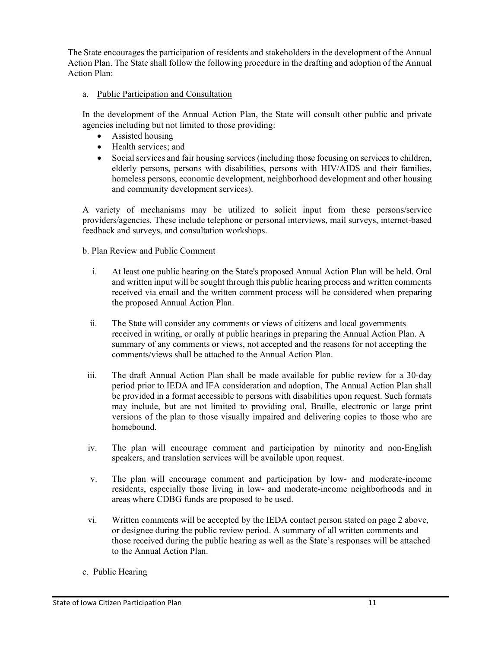The State encourages the participation of residents and stakeholders in the development of the Annual Action Plan. The State shall follow the following procedure in the drafting and adoption of the Annual Action Plan:

### a. Public Participation and Consultation

In the development of the Annual Action Plan, the State will consult other public and private agencies including but not limited to those providing:

- Assisted housing
- Health services: and
- Social services and fair housing services (including those focusing on services to children, elderly persons, persons with disabilities, persons with HIV/AIDS and their families, homeless persons, economic development, neighborhood development and other housing and community development services).

A variety of mechanisms may be utilized to solicit input from these persons/service providers/agencies. These include telephone or personal interviews, mail surveys, internet-based feedback and surveys, and consultation workshops.

## b. Plan Review and Public Comment

- i. At least one public hearing on the State's proposed Annual Action Plan will be held. Oral and written input will be sought through this public hearing process and written comments received via email and the written comment process will be considered when preparing the proposed Annual Action Plan.
- ii. The State will consider any comments or views of citizens and local governments received in writing, or orally at public hearings in preparing the Annual Action Plan. A summary of any comments or views, not accepted and the reasons for not accepting the comments/views shall be attached to the Annual Action Plan.
- iii. The draft Annual Action Plan shall be made available for public review for a 30-day period prior to IEDA and IFA consideration and adoption, The Annual Action Plan shall be provided in a format accessible to persons with disabilities upon request. Such formats may include, but are not limited to providing oral, Braille, electronic or large print versions of the plan to those visually impaired and delivering copies to those who are homebound.
- iv. The plan will encourage comment and participation by minority and non-English speakers, and translation services will be available upon request.
- v. The plan will encourage comment and participation by low- and moderate-income residents, especially those living in low- and moderate-income neighborhoods and in areas where CDBG funds are proposed to be used.
- vi. Written comments will be accepted by the IEDA contact person stated on page 2 above, or designee during the public review period. A summary of all written comments and those received during the public hearing as well as the State's responses will be attached to the Annual Action Plan.
- c. Public Hearing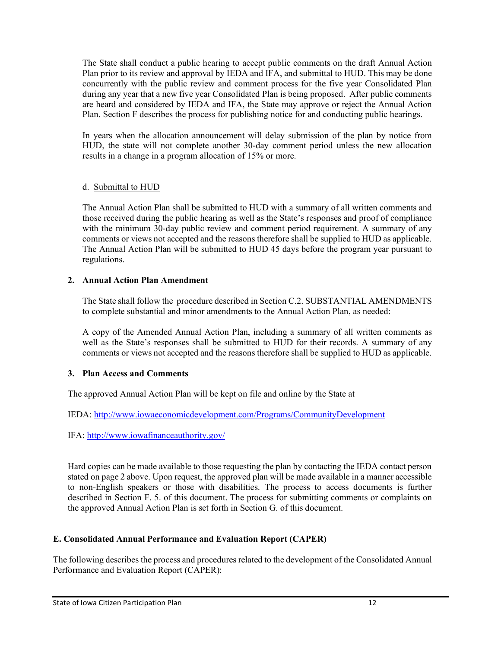The State shall conduct a public hearing to accept public comments on the draft Annual Action Plan prior to its review and approval by IEDA and IFA, and submittal to HUD. This may be done concurrently with the public review and comment process for the five year Consolidated Plan during any year that a new five year Consolidated Plan is being proposed. After public comments are heard and considered by IEDA and IFA, the State may approve or reject the Annual Action Plan. Section F describes the process for publishing notice for and conducting public hearings.

In years when the allocation announcement will delay submission of the plan by notice from HUD, the state will not complete another 30-day comment period unless the new allocation results in a change in a program allocation of 15% or more.

#### d. Submittal to HUD

The Annual Action Plan shall be submitted to HUD with a summary of all written comments and those received during the public hearing as well as the State's responses and proof of compliance with the minimum 30-day public review and comment period requirement. A summary of any comments or views not accepted and the reasons therefore shall be supplied to HUD as applicable. The Annual Action Plan will be submitted to HUD 45 days before the program year pursuant to regulations.

#### **2. Annual Action Plan Amendment**

The State shall follow the procedure described in Section C.2. SUBSTANTIAL AMENDMENTS to complete substantial and minor amendments to the Annual Action Plan, as needed:

A copy of the Amended Annual Action Plan, including a summary of all written comments as well as the State's responses shall be submitted to HUD for their records. A summary of any comments or views not accepted and the reasons therefore shall be supplied to HUD as applicable.

### **3. Plan Access and Comments**

The approved Annual Action Plan will be kept on file and online by the State at

IEDA:<http://www.iowaeconomicdevelopment.com/Programs/CommunityDevelopment>

IFA:<http://www.iowafinanceauthority.gov/>

Hard copies can be made available to those requesting the plan by contacting the IEDA contact person stated on page 2 above. Upon request, the approved plan will be made available in a manner accessible to non-English speakers or those with disabilities. The process to access documents is further described in Section F. 5. of this document. The process for submitting comments or complaints on the approved Annual Action Plan is set forth in Section G. of this document.

### **E. Consolidated Annual Performance and Evaluation Report (CAPER)**

The following describes the process and procedures related to the development of the Consolidated Annual Performance and Evaluation Report (CAPER):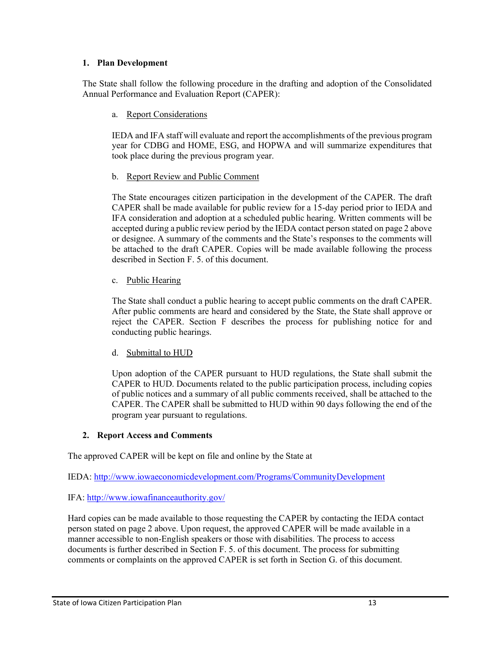## **1. Plan Development**

The State shall follow the following procedure in the drafting and adoption of the Consolidated Annual Performance and Evaluation Report (CAPER):

## a. Report Considerations

IEDA and IFA staff will evaluate and report the accomplishments of the previous program year for CDBG and HOME, ESG, and HOPWA and will summarize expenditures that took place during the previous program year.

### b. Report Review and Public Comment

The State encourages citizen participation in the development of the CAPER. The draft CAPER shall be made available for public review for a 15-day period prior to IEDA and IFA consideration and adoption at a scheduled public hearing. Written comments will be accepted during a public review period by the IEDA contact person stated on page 2 above or designee. A summary of the comments and the State's responses to the comments will be attached to the draft CAPER. Copies will be made available following the process described in Section F. 5. of this document.

## c. Public Hearing

The State shall conduct a public hearing to accept public comments on the draft CAPER. After public comments are heard and considered by the State, the State shall approve or reject the CAPER. Section F describes the process for publishing notice for and conducting public hearings.

# d. Submittal to HUD

Upon adoption of the CAPER pursuant to HUD regulations, the State shall submit the CAPER to HUD. Documents related to the public participation process, including copies of public notices and a summary of all public comments received, shall be attached to the CAPER. The CAPER shall be submitted to HUD within 90 days following the end of the program year pursuant to regulations.

# **2. Report Access and Comments**

The approved CAPER will be kept on file and online by the State at

IEDA:<http://www.iowaeconomicdevelopment.com/Programs/CommunityDevelopment>

# IFA:<http://www.iowafinanceauthority.gov/>

Hard copies can be made available to those requesting the CAPER by contacting the IEDA contact person stated on page 2 above. Upon request, the approved CAPER will be made available in a manner accessible to non-English speakers or those with disabilities. The process to access documents is further described in Section F. 5. of this document. The process for submitting comments or complaints on the approved CAPER is set forth in Section G. of this document.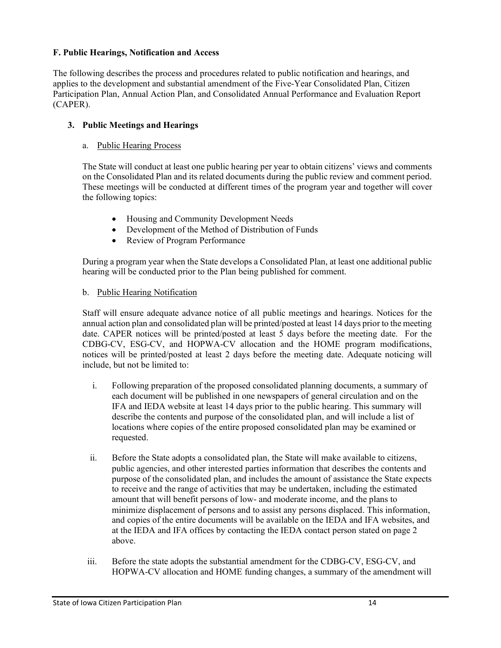## **F. Public Hearings, Notification and Access**

The following describes the process and procedures related to public notification and hearings, and applies to the development and substantial amendment of the Five-Year Consolidated Plan, Citizen Participation Plan, Annual Action Plan, and Consolidated Annual Performance and Evaluation Report (CAPER).

## **3. Public Meetings and Hearings**

### a. Public Hearing Process

The State will conduct at least one public hearing per year to obtain citizens' views and comments on the Consolidated Plan and its related documents during the public review and comment period. These meetings will be conducted at different times of the program year and together will cover the following topics:

- Housing and Community Development Needs
- Development of the Method of Distribution of Funds
- Review of Program Performance

During a program year when the State develops a Consolidated Plan, at least one additional public hearing will be conducted prior to the Plan being published for comment.

### b. Public Hearing Notification

Staff will ensure adequate advance notice of all public meetings and hearings. Notices for the annual action plan and consolidated plan will be printed/posted at least 14 days prior to the meeting date. CAPER notices will be printed/posted at least 5 days before the meeting date. For the CDBG-CV, ESG-CV, and HOPWA-CV allocation and the HOME program modifications, notices will be printed/posted at least 2 days before the meeting date. Adequate noticing will include, but not be limited to:

- i. Following preparation of the proposed consolidated planning documents, a summary of each document will be published in one newspapers of general circulation and on the IFA and IEDA website at least 14 days prior to the public hearing. This summary will describe the contents and purpose of the consolidated plan, and will include a list of locations where copies of the entire proposed consolidated plan may be examined or requested.
- ii. Before the State adopts a consolidated plan, the State will make available to citizens, public agencies, and other interested parties information that describes the contents and purpose of the consolidated plan, and includes the amount of assistance the State expects to receive and the range of activities that may be undertaken, including the estimated amount that will benefit persons of low- and moderate income, and the plans to minimize displacement of persons and to assist any persons displaced. This information, and copies of the entire documents will be available on the IEDA and IFA websites, and at the IEDA and IFA offices by contacting the IEDA contact person stated on page 2 above.
- iii. Before the state adopts the substantial amendment for the CDBG-CV, ESG-CV, and HOPWA-CV allocation and HOME funding changes, a summary of the amendment will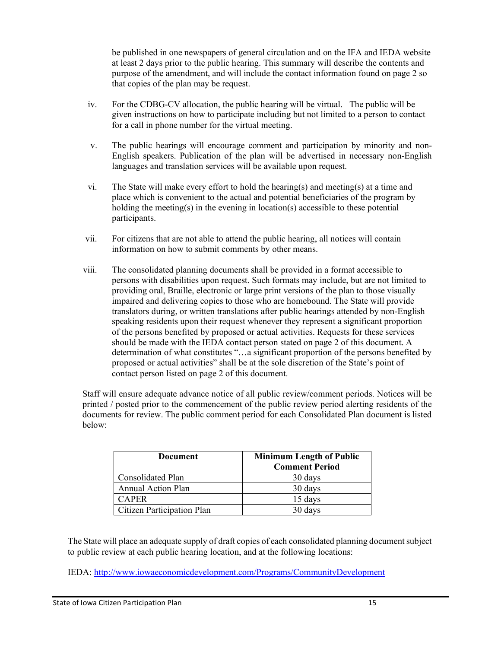be published in one newspapers of general circulation and on the IFA and IEDA website at least 2 days prior to the public hearing. This summary will describe the contents and purpose of the amendment, and will include the contact information found on page 2 so that copies of the plan may be request.

- iv. For the CDBG-CV allocation, the public hearing will be virtual. The public will be given instructions on how to participate including but not limited to a person to contact for a call in phone number for the virtual meeting.
- v. The public hearings will encourage comment and participation by minority and non-English speakers. Publication of the plan will be advertised in necessary non-English languages and translation services will be available upon request.
- vi. The State will make every effort to hold the hearing(s) and meeting(s) at a time and place which is convenient to the actual and potential beneficiaries of the program by holding the meeting(s) in the evening in location(s) accessible to these potential participants.
- vii. For citizens that are not able to attend the public hearing, all notices will contain information on how to submit comments by other means.
- viii. The consolidated planning documents shall be provided in a format accessible to persons with disabilities upon request. Such formats may include, but are not limited to providing oral, Braille, electronic or large print versions of the plan to those visually impaired and delivering copies to those who are homebound. The State will provide translators during, or written translations after public hearings attended by non-English speaking residents upon their request whenever they represent a significant proportion of the persons benefited by proposed or actual activities. Requests for these services should be made with the IEDA contact person stated on page 2 of this document. A determination of what constitutes "…a significant proportion of the persons benefited by proposed or actual activities" shall be at the sole discretion of the State's point of contact person listed on page 2 of this document.

Staff will ensure adequate advance notice of all public review/comment periods. Notices will be printed / posted prior to the commencement of the public review period alerting residents of the documents for review. The public comment period for each Consolidated Plan document is listed below:

| <b>Document</b>                   | <b>Minimum Length of Public</b><br><b>Comment Period</b> |
|-----------------------------------|----------------------------------------------------------|
| Consolidated Plan                 | 30 days                                                  |
| <b>Annual Action Plan</b>         | 30 days                                                  |
| <b>CAPER</b>                      | 15 days                                                  |
| <b>Citizen Participation Plan</b> | 30 days                                                  |

The State will place an adequate supply of draft copies of each consolidated planning document subject to public review at each public hearing location, and at the following locations:

IEDA:<http://www.iowaeconomicdevelopment.com/Programs/CommunityDevelopment>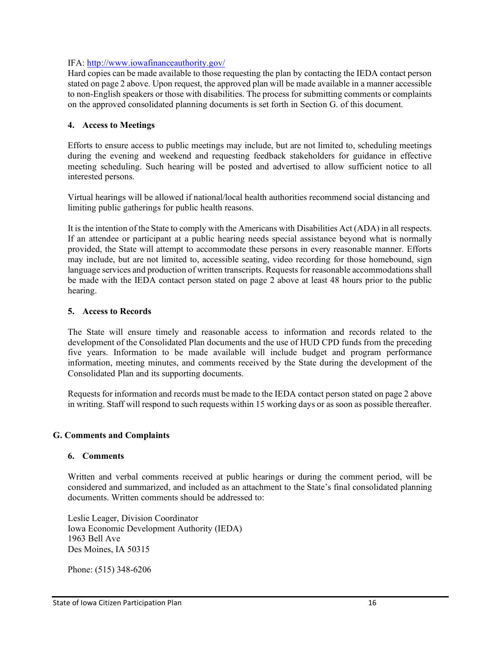#### IFA:<http://www.iowafinanceauthority.gov/>

Hard copies can be made available to those requesting the plan by contacting the IEDA contact person stated on page 2 above. Upon request, the approved plan will be made available in a manner accessible to non-English speakers or those with disabilities. The process for submitting comments or complaints on the approved consolidated planning documents is set forth in Section G. of this document.

#### **4. Access to Meetings**

Efforts to ensure access to public meetings may include, but are not limited to, scheduling meetings during the evening and weekend and requesting feedback stakeholders for guidance in effective meeting scheduling. Such hearing will be posted and advertised to allow sufficient notice to all interested persons.

Virtual hearings will be allowed if national/local health authorities recommend social distancing and limiting public gatherings for public health reasons.

It is the intention of the State to comply with the Americans with Disabilities Act (ADA) in all respects. If an attendee or participant at a public hearing needs special assistance beyond what is normally provided, the State will attempt to accommodate these persons in every reasonable manner. Efforts may include, but are not limited to, accessible seating, video recording for those homebound, sign language services and production of written transcripts. Requests for reasonable accommodations shall be made with the IEDA contact person stated on page 2 above at least 48 hours prior to the public hearing.

#### **5. Access to Records**

The State will ensure timely and reasonable access to information and records related to the development of the Consolidated Plan documents and the use of HUD CPD funds from the preceding five years. Information to be made available will include budget and program performance information, meeting minutes, and comments received by the State during the development of the Consolidated Plan and its supporting documents.

Requests for information and records must be made to the IEDA contact person stated on page 2 above in writing. Staff will respond to such requests within 15 working days or as soon as possible thereafter.

#### **G. Comments and Complaints**

#### **6. Comments**

Written and verbal comments received at public hearings or during the comment period, will be considered and summarized, and included as an attachment to the State's final consolidated planning documents. Written comments should be addressed to:

Leslie Leager, Division Coordinator Iowa Economic Development Authority (IEDA) 1963 Bell Ave Des Moines, IA 50315

Phone: (515) 348-6206